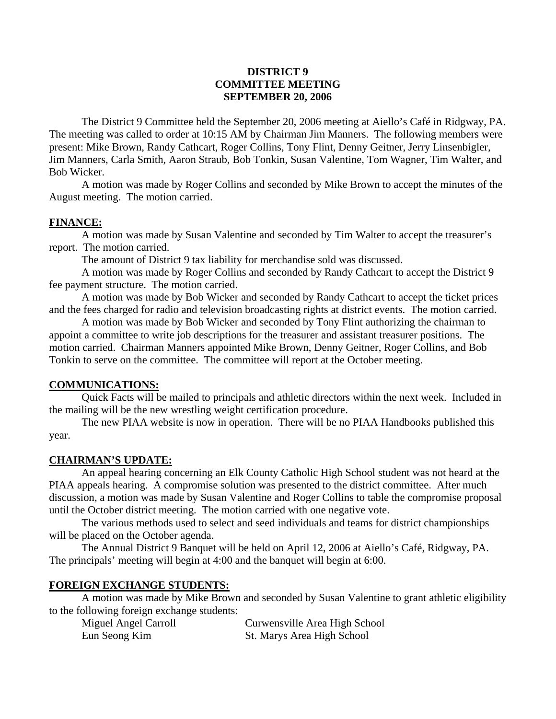## **DISTRICT 9 COMMITTEE MEETING SEPTEMBER 20, 2006**

The District 9 Committee held the September 20, 2006 meeting at Aiello's Café in Ridgway, PA. The meeting was called to order at 10:15 AM by Chairman Jim Manners. The following members were present: Mike Brown, Randy Cathcart, Roger Collins, Tony Flint, Denny Geitner, Jerry Linsenbigler, Jim Manners, Carla Smith, Aaron Straub, Bob Tonkin, Susan Valentine, Tom Wagner, Tim Walter, and Bob Wicker.

A motion was made by Roger Collins and seconded by Mike Brown to accept the minutes of the August meeting. The motion carried.

## **FINANCE:**

 A motion was made by Susan Valentine and seconded by Tim Walter to accept the treasurer's report. The motion carried.

The amount of District 9 tax liability for merchandise sold was discussed.

 A motion was made by Roger Collins and seconded by Randy Cathcart to accept the District 9 fee payment structure. The motion carried.

 A motion was made by Bob Wicker and seconded by Randy Cathcart to accept the ticket prices and the fees charged for radio and television broadcasting rights at district events. The motion carried.

 A motion was made by Bob Wicker and seconded by Tony Flint authorizing the chairman to appoint a committee to write job descriptions for the treasurer and assistant treasurer positions. The motion carried. Chairman Manners appointed Mike Brown, Denny Geitner, Roger Collins, and Bob Tonkin to serve on the committee. The committee will report at the October meeting.

## **COMMUNICATIONS:**

 Quick Facts will be mailed to principals and athletic directors within the next week. Included in the mailing will be the new wrestling weight certification procedure.

 The new PIAA website is now in operation. There will be no PIAA Handbooks published this year.

## **CHAIRMAN'S UPDATE:**

 An appeal hearing concerning an Elk County Catholic High School student was not heard at the PIAA appeals hearing. A compromise solution was presented to the district committee. After much discussion, a motion was made by Susan Valentine and Roger Collins to table the compromise proposal until the October district meeting. The motion carried with one negative vote.

 The various methods used to select and seed individuals and teams for district championships will be placed on the October agenda.

 The Annual District 9 Banquet will be held on April 12, 2006 at Aiello's Café, Ridgway, PA. The principals' meeting will begin at 4:00 and the banquet will begin at 6:00.

## **FOREIGN EXCHANGE STUDENTS:**

 A motion was made by Mike Brown and seconded by Susan Valentine to grant athletic eligibility to the following foreign exchange students:

| Miguel Angel Carroll | Curwensville Area High School |
|----------------------|-------------------------------|
| Eun Seong Kim        | St. Marys Area High School    |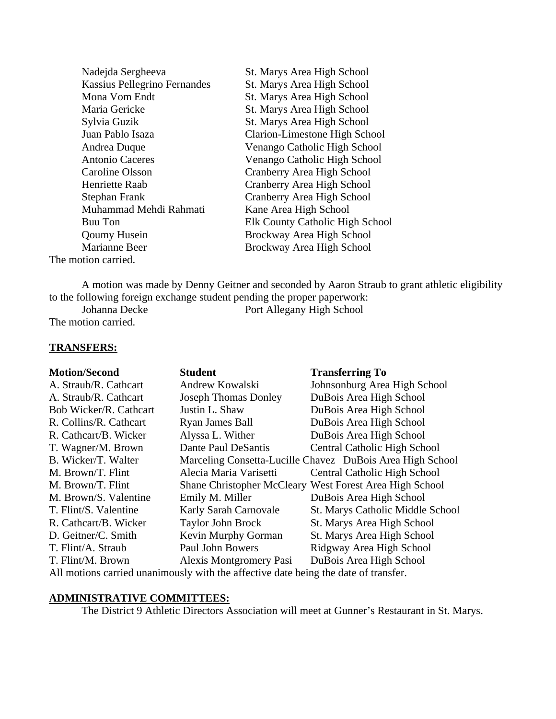| Nadejda Sergheeva                   | St. Marys Area High School      |
|-------------------------------------|---------------------------------|
| <b>Kassius Pellegrino Fernandes</b> | St. Marys Area High School      |
| Mona Vom Endt                       | St. Marys Area High School      |
| Maria Gericke                       | St. Marys Area High School      |
| Sylvia Guzik                        | St. Marys Area High School      |
| Juan Pablo Isaza                    | Clarion-Limestone High School   |
| Andrea Duque                        | Venango Catholic High School    |
| <b>Antonio Caceres</b>              | Venango Catholic High School    |
| Caroline Olsson                     | Cranberry Area High School      |
| Henriette Raab                      | Cranberry Area High School      |
| Stephan Frank                       | Cranberry Area High School      |
| Muhammad Mehdi Rahmati              | Kane Area High School           |
| Buu Ton                             | Elk County Catholic High School |
| <b>Qoumy Husein</b>                 | Brockway Area High School       |
| Marianne Beer                       | Brockway Area High School       |
| The motion carried.                 |                                 |

 A motion was made by Denny Geitner and seconded by Aaron Straub to grant athletic eligibility to the following foreign exchange student pending the proper paperwork:<br>Johanna Decke<br>Port Allegany High School Port Allegany High School

The motion carried.

#### **TRANSFERS:**

| <b>Motion/Second</b>                                                               | <b>Student</b>                 | <b>Transferring To</b>                                    |  |
|------------------------------------------------------------------------------------|--------------------------------|-----------------------------------------------------------|--|
| A. Straub/R. Cathcart                                                              | Andrew Kowalski                | Johnsonburg Area High School                              |  |
| A. Straub/R. Cathcart                                                              | <b>Joseph Thomas Donley</b>    | DuBois Area High School                                   |  |
| <b>Bob Wicker/R. Cathcart</b>                                                      | Justin L. Shaw                 | DuBois Area High School                                   |  |
| R. Collins/R. Cathcart                                                             | Ryan James Ball                | DuBois Area High School                                   |  |
| R. Cathcart/B. Wicker                                                              | Alyssa L. Wither               | DuBois Area High School                                   |  |
| T. Wagner/M. Brown                                                                 | Dante Paul DeSantis            | <b>Central Catholic High School</b>                       |  |
| B. Wicker/T. Walter                                                                |                                | Marceling Consetta-Lucille Chavez DuBois Area High School |  |
| M. Brown/T. Flint                                                                  | Alecia Maria Varisetti         | <b>Central Catholic High School</b>                       |  |
| M. Brown/T. Flint                                                                  |                                | Shane Christopher McCleary West Forest Area High School   |  |
| M. Brown/S. Valentine                                                              | Emily M. Miller                | DuBois Area High School                                   |  |
| T. Flint/S. Valentine                                                              | <b>Karly Sarah Carnovale</b>   | St. Marys Catholic Middle School                          |  |
| R. Cathcart/B. Wicker                                                              | Taylor John Brock              | St. Marys Area High School                                |  |
| D. Geitner/C. Smith                                                                | Kevin Murphy Gorman            | St. Marys Area High School                                |  |
| T. Flint/A. Straub                                                                 | Paul John Bowers               | Ridgway Area High School                                  |  |
| T. Flint/M. Brown                                                                  | <b>Alexis Montgromery Pasi</b> | DuBois Area High School                                   |  |
| All motions corried unonimously with the effective data being the date of trengtor |                                |                                                           |  |

All motions carried unanimously with the affective date being the date of transfer.

# **ADMINISTRATIVE COMMITTEES:**

The District 9 Athletic Directors Association will meet at Gunner's Restaurant in St. Marys.